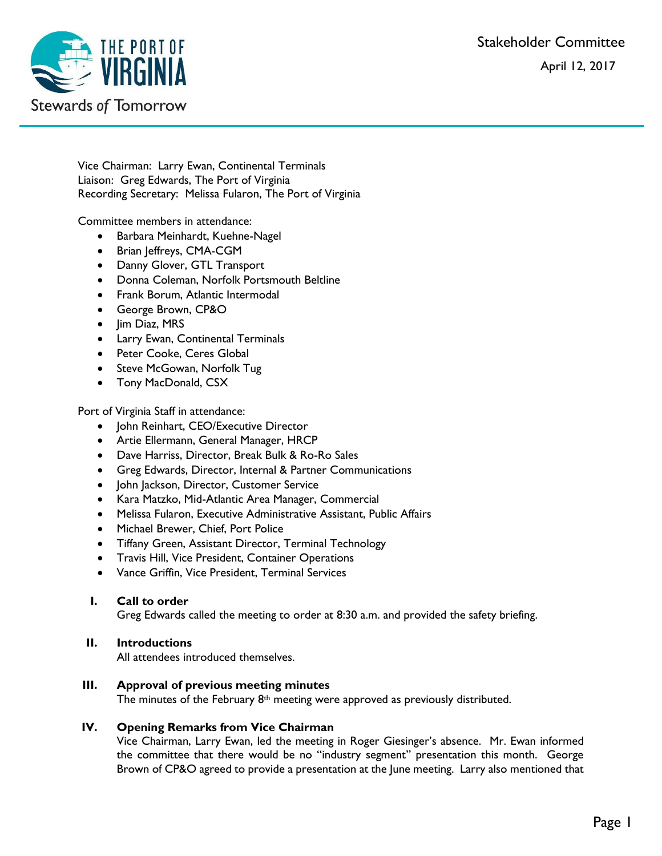Stakeholder Committee

April 12, 2017



Vice Chairman: Larry Ewan, Continental Terminals Liaison: Greg Edwards, The Port of Virginia Recording Secretary: Melissa Fularon, The Port of Virginia

Committee members in attendance:

- Barbara Meinhardt, Kuehne-Nagel
- Brian Jeffreys, CMA-CGM
- Danny Glover, GTL Transport
- Donna Coleman, Norfolk Portsmouth Beltline
- Frank Borum, Atlantic Intermodal
- George Brown, CP&O
- Jim Diaz, MRS
- Larry Ewan, Continental Terminals
- Peter Cooke, Ceres Global
- Steve McGowan, Norfolk Tug
- Tony MacDonald, CSX

Port of Virginia Staff in attendance:

- John Reinhart, CEO/Executive Director
- Artie Ellermann, General Manager, HRCP
- Dave Harriss, Director, Break Bulk & Ro-Ro Sales
- Greg Edwards, Director, Internal & Partner Communications
- John Jackson, Director, Customer Service
- Kara Matzko, Mid-Atlantic Area Manager, Commercial
- Melissa Fularon, Executive Administrative Assistant, Public Affairs
- Michael Brewer, Chief, Port Police
- Tiffany Green, Assistant Director, Terminal Technology
- **•** Travis Hill, Vice President, Container Operations
- Vance Griffin, Vice President, Terminal Services

# **I. Call to order**

Greg Edwards called the meeting to order at 8:30 a.m. and provided the safety briefing.

# **II. Introductions**

All attendees introduced themselves.

# **III. Approval of previous meeting minutes**

The minutes of the February 8<sup>th</sup> meeting were approved as previously distributed.

# **IV. Opening Remarks from Vice Chairman**

Vice Chairman, Larry Ewan, led the meeting in Roger Giesinger's absence. Mr. Ewan informed the committee that there would be no "industry segment" presentation this month. George Brown of CP&O agreed to provide a presentation at the June meeting. Larry also mentioned that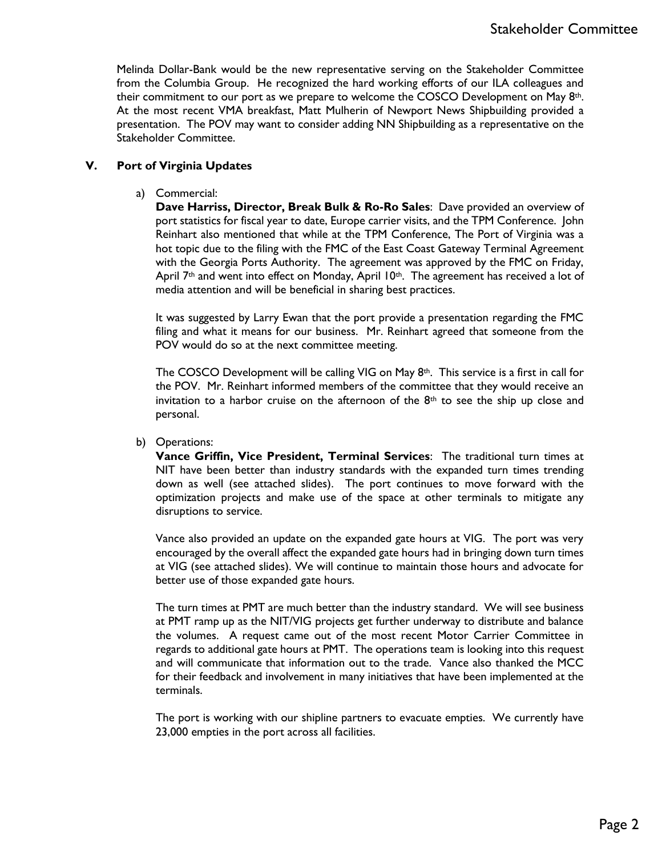Melinda Dollar-Bank would be the new representative serving on the Stakeholder Committee from the Columbia Group. He recognized the hard working efforts of our ILA colleagues and their commitment to our port as we prepare to welcome the COSCO Development on May  $8<sup>th</sup>$ . At the most recent VMA breakfast, Matt Mulherin of Newport News Shipbuilding provided a presentation. The POV may want to consider adding NN Shipbuilding as a representative on the Stakeholder Committee.

### **V. Port of Virginia Updates**

a) Commercial:

**Dave Harriss, Director, Break Bulk & Ro-Ro Sales**: Dave provided an overview of port statistics for fiscal year to date, Europe carrier visits, and the TPM Conference. John Reinhart also mentioned that while at the TPM Conference, The Port of Virginia was a hot topic due to the filing with the FMC of the East Coast Gateway Terminal Agreement with the Georgia Ports Authority. The agreement was approved by the FMC on Friday, April 7<sup>th</sup> and went into effect on Monday, April  $10<sup>th</sup>$ . The agreement has received a lot of media attention and will be beneficial in sharing best practices.

It was suggested by Larry Ewan that the port provide a presentation regarding the FMC filing and what it means for our business. Mr. Reinhart agreed that someone from the POV would do so at the next committee meeting.

The COSCO Development will be calling VIG on May  $8<sup>th</sup>$ . This service is a first in call for the POV. Mr. Reinhart informed members of the committee that they would receive an invitation to a harbor cruise on the afternoon of the  $8<sup>th</sup>$  to see the ship up close and personal.

### b) Operations:

**Vance Griffin, Vice President, Terminal Services**: The traditional turn times at NIT have been better than industry standards with the expanded turn times trending down as well (see attached slides). The port continues to move forward with the optimization projects and make use of the space at other terminals to mitigate any disruptions to service.

Vance also provided an update on the expanded gate hours at VIG. The port was very encouraged by the overall affect the expanded gate hours had in bringing down turn times at VIG (see attached slides). We will continue to maintain those hours and advocate for better use of those expanded gate hours.

The turn times at PMT are much better than the industry standard. We will see business at PMT ramp up as the NIT/VIG projects get further underway to distribute and balance the volumes. A request came out of the most recent Motor Carrier Committee in regards to additional gate hours at PMT. The operations team is looking into this request and will communicate that information out to the trade. Vance also thanked the MCC for their feedback and involvement in many initiatives that have been implemented at the terminals.

The port is working with our shipline partners to evacuate empties. We currently have 23,000 empties in the port across all facilities.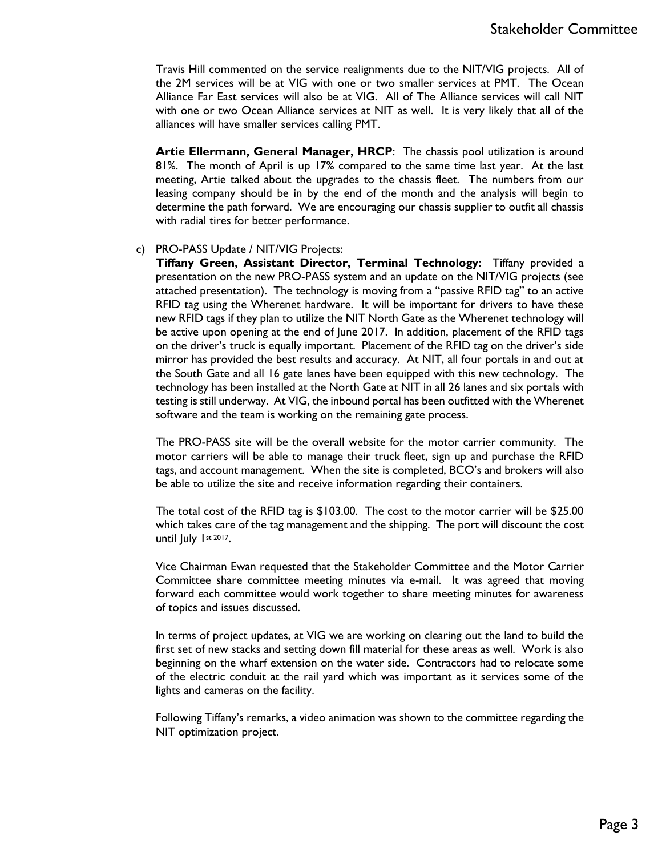Travis Hill commented on the service realignments due to the NIT/VIG projects. All of the 2M services will be at VIG with one or two smaller services at PMT. The Ocean Alliance Far East services will also be at VIG. All of The Alliance services will call NIT with one or two Ocean Alliance services at NIT as well. It is very likely that all of the alliances will have smaller services calling PMT.

**Artie Ellermann, General Manager, HRCP**: The chassis pool utilization is around 81%. The month of April is up 17% compared to the same time last year. At the last meeting, Artie talked about the upgrades to the chassis fleet. The numbers from our leasing company should be in by the end of the month and the analysis will begin to determine the path forward. We are encouraging our chassis supplier to outfit all chassis with radial tires for better performance.

#### c) PRO-PASS Update / NIT/VIG Projects:

**Tiffany Green, Assistant Director, Terminal Technology**: Tiffany provided a presentation on the new PRO-PASS system and an update on the NIT/VIG projects (see attached presentation). The technology is moving from a "passive RFID tag" to an active RFID tag using the Wherenet hardware. It will be important for drivers to have these new RFID tags if they plan to utilize the NIT North Gate as the Wherenet technology will be active upon opening at the end of June 2017. In addition, placement of the RFID tags on the driver's truck is equally important. Placement of the RFID tag on the driver's side mirror has provided the best results and accuracy. At NIT, all four portals in and out at the South Gate and all 16 gate lanes have been equipped with this new technology. The technology has been installed at the North Gate at NIT in all 26 lanes and six portals with testing is still underway. At VIG, the inbound portal has been outfitted with the Wherenet software and the team is working on the remaining gate process.

The PRO-PASS site will be the overall website for the motor carrier community. The motor carriers will be able to manage their truck fleet, sign up and purchase the RFID tags, and account management. When the site is completed, BCO's and brokers will also be able to utilize the site and receive information regarding their containers.

The total cost of the RFID tag is \$103.00. The cost to the motor carrier will be \$25.00 which takes care of the tag management and the shipping. The port will discount the cost until July 1st 2017.

Vice Chairman Ewan requested that the Stakeholder Committee and the Motor Carrier Committee share committee meeting minutes via e-mail. It was agreed that moving forward each committee would work together to share meeting minutes for awareness of topics and issues discussed.

In terms of project updates, at VIG we are working on clearing out the land to build the first set of new stacks and setting down fill material for these areas as well. Work is also beginning on the wharf extension on the water side. Contractors had to relocate some of the electric conduit at the rail yard which was important as it services some of the lights and cameras on the facility.

Following Tiffany's remarks, a video animation was shown to the committee regarding the NIT optimization project.